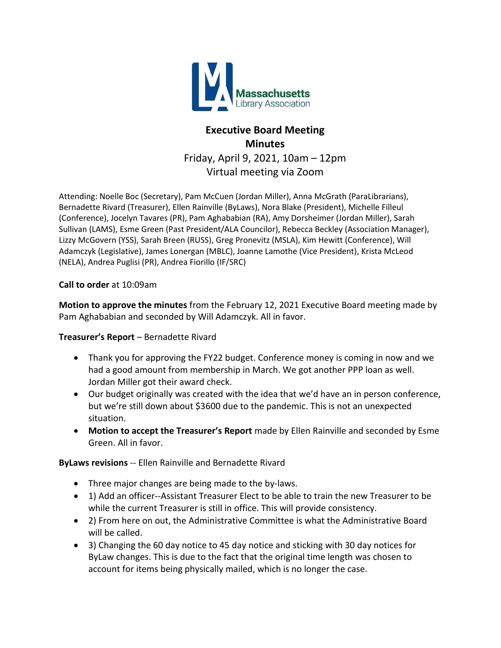

# **Executive Board Meeting Minutes** Friday, April 9, 2021, 10am – 12pm Virtual meeting via Zoom

Attending: Noelle Boc (Secretary), Pam McCuen (Jordan Miller), Anna McGrath (ParaLibrarians), Bernadette Rivard (Treasurer), Ellen Rainville (ByLaws), Nora Blake (President), Michelle Filleul (Conference), Jocelyn Tavares (PR), Pam Aghababian (RA), Amy Dorsheimer (Jordan Miller), Sarah Sullivan (LAMS), Esme Green (Past President/ALA Councilor), Rebecca Beckley (Association Manager), Lizzy McGovern (YSS), Sarah Breen (RUSS), Greg Pronevitz (MSLA), Kim Hewitt (Conference), Will Adamczyk (Legislative), James Lonergan (MBLC), Joanne Lamothe (Vice President), Krista McLeod (NELA), Andrea Puglisi (PR), Andrea Fiorillo (IF/SRC)

#### **Call to order** at 10:09am

**Motion to approve the minutes** from the February 12, 2021 Executive Board meeting made by Pam Aghababian and seconded by Will Adamczyk. All in favor.

## **Treasurer's Report** – Bernadette Rivard

- Thank you for approving the FY22 budget. Conference money is coming in now and we had a good amount from membership in March. We got another PPP loan as well. Jordan Miller got their award check.
- Our budget originally was created with the idea that we'd have an in person conference, but we're still down about \$3600 due to the pandemic. This is not an unexpected situation.
- **Motion to accept the Treasurer's Report** made by Ellen Rainville and seconded by Esme Green. All in favor.

## **ByLaws revisions** -- Ellen Rainville and Bernadette Rivard

- Three major changes are being made to the by-laws.
- 1) Add an officer--Assistant Treasurer Elect to be able to train the new Treasurer to be while the current Treasurer is still in office. This will provide consistency.
- 2) From here on out, the Administrative Committee is what the Administrative Board will be called.
- 3) Changing the 60 day notice to 45 day notice and sticking with 30 day notices for ByLaw changes. This is due to the fact that the original time length was chosen to account for items being physically mailed, which is no longer the case.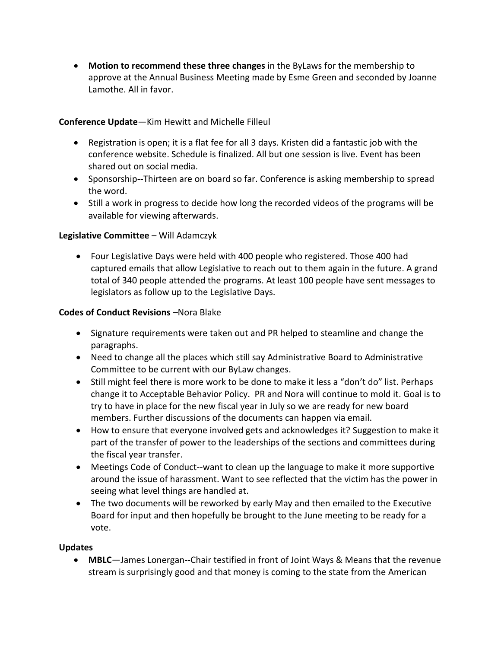**Motion to recommend these three changes** in the ByLaws for the membership to approve at the Annual Business Meeting made by Esme Green and seconded by Joanne Lamothe. All in favor.

## **Conference Update**—Kim Hewitt and Michelle Filleul

- Registration is open; it is a flat fee for all 3 days. Kristen did a fantastic job with the conference website. Schedule is finalized. All but one session is live. Event has been shared out on social media.
- Sponsorship--Thirteen are on board so far. Conference is asking membership to spread the word.
- Still a work in progress to decide how long the recorded videos of the programs will be available for viewing afterwards.

# **Legislative Committee** – Will Adamczyk

 Four Legislative Days were held with 400 people who registered. Those 400 had captured emails that allow Legislative to reach out to them again in the future. A grand total of 340 people attended the programs. At least 100 people have sent messages to legislators as follow up to the Legislative Days.

# **Codes of Conduct Revisions** –Nora Blake

- Signature requirements were taken out and PR helped to steamline and change the paragraphs.
- Need to change all the places which still say Administrative Board to Administrative Committee to be current with our ByLaw changes.
- Still might feel there is more work to be done to make it less a "don't do" list. Perhaps change it to Acceptable Behavior Policy. PR and Nora will continue to mold it. Goal is to try to have in place for the new fiscal year in July so we are ready for new board members. Further discussions of the documents can happen via email.
- How to ensure that everyone involved gets and acknowledges it? Suggestion to make it part of the transfer of power to the leaderships of the sections and committees during the fiscal year transfer.
- Meetings Code of Conduct--want to clean up the language to make it more supportive around the issue of harassment. Want to see reflected that the victim has the power in seeing what level things are handled at.
- The two documents will be reworked by early May and then emailed to the Executive Board for input and then hopefully be brought to the June meeting to be ready for a vote.

## **Updates**

 **MBLC**—James Lonergan--Chair testified in front of Joint Ways & Means that the revenue stream is surprisingly good and that money is coming to the state from the American